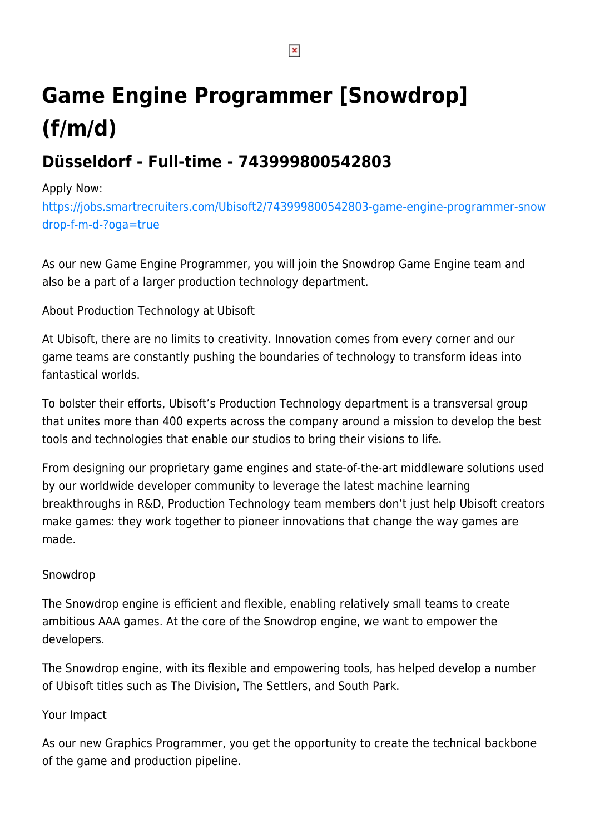# **Game Engine Programmer [Snowdrop] (f/m/d)**

# **Düsseldorf - Full-time - 743999800542803**

## Apply Now:

[https://jobs.smartrecruiters.com/Ubisoft2/743999800542803-game-engine-programmer-snow](https://jobs.smartrecruiters.com/Ubisoft2/743999800542803-game-engine-programmer-snowdrop-f-m-d-?oga=true) [drop-f-m-d-?oga=true](https://jobs.smartrecruiters.com/Ubisoft2/743999800542803-game-engine-programmer-snowdrop-f-m-d-?oga=true)

As our new Game Engine Programmer, you will join the Snowdrop Game Engine team and also be a part of a larger production technology department.

# About Production Technology at Ubisoft

At Ubisoft, there are no limits to creativity. Innovation comes from every corner and our game teams are constantly pushing the boundaries of technology to transform ideas into fantastical worlds.

To bolster their efforts, Ubisoft's Production Technology department is a transversal group that unites more than 400 experts across the company around a mission to develop the best tools and technologies that enable our studios to bring their visions to life.

From designing our proprietary game engines and state-of-the-art middleware solutions used by our worldwide developer community to leverage the latest machine learning breakthroughs in R&D, Production Technology team members don't just help Ubisoft creators make games: they work together to pioneer innovations that change the way games are made.

### Snowdrop

The Snowdrop engine is efficient and flexible, enabling relatively small teams to create ambitious AAA games. At the core of the Snowdrop engine, we want to empower the developers.

The Snowdrop engine, with its flexible and empowering tools, has helped develop a number of Ubisoft titles such as The Division, The Settlers, and South Park.

### Your Impact

As our new Graphics Programmer, you get the opportunity to create the technical backbone of the game and production pipeline.

 $\pmb{\times}$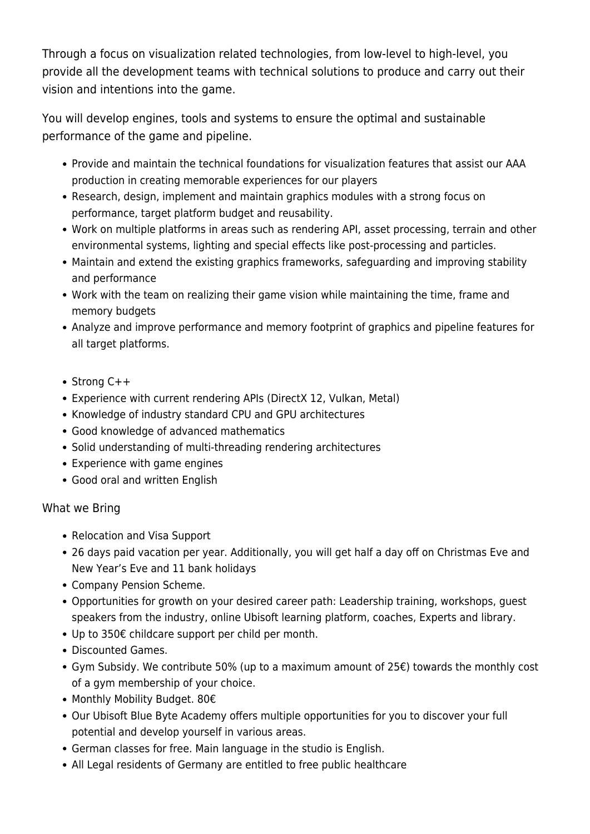Through a focus on visualization related technologies, from low-level to high-level, you provide all the development teams with technical solutions to produce and carry out their vision and intentions into the game.

You will develop engines, tools and systems to ensure the optimal and sustainable performance of the game and pipeline.

- Provide and maintain the technical foundations for visualization features that assist our AAA production in creating memorable experiences for our players
- Research, design, implement and maintain graphics modules with a strong focus on performance, target platform budget and reusability.
- Work on multiple platforms in areas such as rendering API, asset processing, terrain and other environmental systems, lighting and special effects like post-processing and particles.
- Maintain and extend the existing graphics frameworks, safeguarding and improving stability and performance
- Work with the team on realizing their game vision while maintaining the time, frame and memory budgets
- Analyze and improve performance and memory footprint of graphics and pipeline features for all target platforms.
- Strong C++
- Experience with current rendering APIs (DirectX 12, Vulkan, Metal)
- Knowledge of industry standard CPU and GPU architectures
- Good knowledge of advanced mathematics
- Solid understanding of multi-threading rendering architectures
- Experience with game engines
- Good oral and written English

### What we Bring

- Relocation and Visa Support
- 26 days paid vacation per year. Additionally, you will get half a day off on Christmas Eve and New Year's Eve and 11 bank holidays
- Company Pension Scheme.
- Opportunities for growth on your desired career path: Leadership training, workshops, guest speakers from the industry, online Ubisoft learning platform, coaches, Experts and library.
- Up to 350€ childcare support per child per month.
- Discounted Games.
- Gym Subsidy. We contribute 50% (up to a maximum amount of 25€) towards the monthly cost of a gym membership of your choice.
- Monthly Mobility Budget. 80€
- Our Ubisoft Blue Byte Academy offers multiple opportunities for you to discover your full potential and develop yourself in various areas.
- German classes for free. Main language in the studio is English.
- All Legal residents of Germany are entitled to free public healthcare